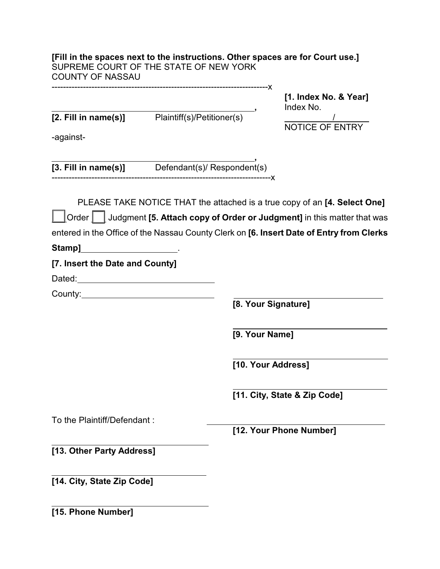| [Fill in the spaces next to the instructions. Other spaces are for Court use.]<br>SUPREME COURT OF THE STATE OF NEW YORK<br><b>COUNTY OF NASSAU</b>                                     |                     |                                                                                          |
|-----------------------------------------------------------------------------------------------------------------------------------------------------------------------------------------|---------------------|------------------------------------------------------------------------------------------|
|                                                                                                                                                                                         |                     | [1. Index No. & Year]                                                                    |
| [2. Fill in name(s)] Plaintiff(s)/Petitioner(s)                                                                                                                                         |                     | Index No.                                                                                |
|                                                                                                                                                                                         |                     | $\frac{1}{\text{NOTICE OF ENTRY}}$                                                       |
| -against-                                                                                                                                                                               |                     |                                                                                          |
| [3. Fill in name(s)] Defendant(s)/ Respondent(s)                                                                                                                                        |                     |                                                                                          |
|                                                                                                                                                                                         |                     | PLEASE TAKE NOTICE THAT the attached is a true copy of an [4. Select One]                |
|                                                                                                                                                                                         |                     | Order Judgment [5. Attach copy of Order or Judgment] in this matter that was             |
|                                                                                                                                                                                         |                     | entered in the Office of the Nassau County Clerk on [6. Insert Date of Entry from Clerks |
| Stamp]<br><u> 1990 - Johann Barbara, martin eta </u>                                                                                                                                    |                     |                                                                                          |
| [7. Insert the Date and County]                                                                                                                                                         |                     |                                                                                          |
| Dated: <u>Dated:</u> <b>Dated: Dated: Dated: Dated: Date: Date: Date: Date: Date: Date: Date: Date: Date: Date: Date: Date: Date: Date: Date: Date: Date: Date: Date: Date: Date: D</b> |                     |                                                                                          |
|                                                                                                                                                                                         |                     |                                                                                          |
|                                                                                                                                                                                         | [8. Your Signature] |                                                                                          |
|                                                                                                                                                                                         | [9. Your Name]      |                                                                                          |
|                                                                                                                                                                                         | [10. Your Address]  |                                                                                          |
|                                                                                                                                                                                         |                     | [11. City, State & Zip Code]                                                             |
| To the Plaintiff/Defendant:                                                                                                                                                             |                     |                                                                                          |
|                                                                                                                                                                                         |                     | [12. Your Phone Number]                                                                  |
| [13. Other Party Address]                                                                                                                                                               |                     |                                                                                          |
| [14. City, State Zip Code]                                                                                                                                                              |                     |                                                                                          |
| [15. Phone Number]                                                                                                                                                                      |                     |                                                                                          |